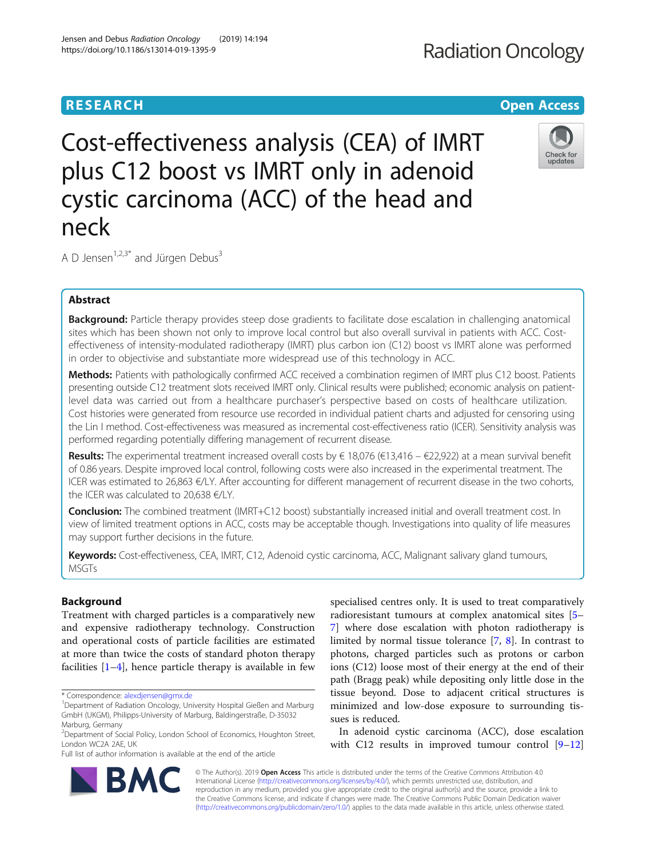## **RESEARCH CHEAR CHEAR CHEAR CHEAR CHEAR CHEAR CHEAR CHEAR CHEAR CHEAR CHEAR CHEAR CHEAR CHEAR CHEAR CHEAR CHEAR**

# Abstract

A D Jensen<sup>1,2,3\*</sup> and Jürgen Debus<sup>3</sup>

neck

Background: Particle therapy provides steep dose gradients to facilitate dose escalation in challenging anatomical sites which has been shown not only to improve local control but also overall survival in patients with ACC. Costeffectiveness of intensity-modulated radiotherapy (IMRT) plus carbon ion (C12) boost vs IMRT alone was performed in order to objectivise and substantiate more widespread use of this technology in ACC.

Cost-effectiveness analysis (CEA) of IMRT

plus C12 boost vs IMRT only in adenoid

cystic carcinoma (ACC) of the head and

Methods: Patients with pathologically confirmed ACC received a combination regimen of IMRT plus C12 boost. Patients presenting outside C12 treatment slots received IMRT only. Clinical results were published; economic analysis on patientlevel data was carried out from a healthcare purchaser's perspective based on costs of healthcare utilization. Cost histories were generated from resource use recorded in individual patient charts and adjusted for censoring using the Lin I method. Cost-effectiveness was measured as incremental cost-effectiveness ratio (ICER). Sensitivity analysis was performed regarding potentially differing management of recurrent disease.

**Results:** The experimental treatment increased overall costs by € 18,076 (€13,416 – €22,922) at a mean survival benefit of 0.86 years. Despite improved local control, following costs were also increased in the experimental treatment. The ICER was estimated to 26,863 €/LY. After accounting for different management of recurrent disease in the two cohorts, the ICER was calculated to 20,638 €/LY.

**Conclusion:** The combined treatment (IMRT+C12 boost) substantially increased initial and overall treatment cost. In view of limited treatment options in ACC, costs may be acceptable though. Investigations into quality of life measures may support further decisions in the future.

Keywords: Cost-effectiveness, CEA, IMRT, C12, Adenoid cystic carcinoma, ACC, Malignant salivary gland tumours, MSGTs

### Background

Treatment with charged particles is a comparatively new and expensive radiotherapy technology. Construction and operational costs of particle facilities are estimated at more than twice the costs of standard photon therapy facilities  $[1-4]$  $[1-4]$  $[1-4]$  $[1-4]$  $[1-4]$ , hence particle therapy is available in few

Full list of author information is available at the end of the article

specialised centres only. It is used to treat comparatively radioresistant tumours at complex anatomical sites [[5](#page-7-0)– [7\]](#page-7-0) where dose escalation with photon radiotherapy is limited by normal tissue tolerance [[7](#page-7-0), [8](#page-7-0)]. In contrast to photons, charged particles such as protons or carbon ions (C12) loose most of their energy at the end of their path (Bragg peak) while depositing only little dose in the tissue beyond. Dose to adjacent critical structures is minimized and low-dose exposure to surrounding tissues is reduced.

In adenoid cystic carcinoma (ACC), dose escalation with C12 results in improved tumour control [[9](#page-7-0)–[12](#page-7-0)]

© The Author(s). 2019 **Open Access** This article is distributed under the terms of the Creative Commons Attribution 4.0 International License [\(http://creativecommons.org/licenses/by/4.0/](http://creativecommons.org/licenses/by/4.0/)), which permits unrestricted use, distribution, and reproduction in any medium, provided you give appropriate credit to the original author(s) and the source, provide a link to the Creative Commons license, and indicate if changes were made. The Creative Commons Public Domain Dedication waiver [\(http://creativecommons.org/publicdomain/zero/1.0/](http://creativecommons.org/publicdomain/zero/1.0/)) applies to the data made available in this article, unless otherwise stated.







<sup>\*</sup> Correspondence: [alexdjensen@gmx.de](mailto:alexdjensen@gmx.de) <sup>1</sup>

<sup>&</sup>lt;sup>1</sup>Department of Radiation Oncology, University Hospital Gießen and Marburg GmbH (UKGM), Philipps-University of Marburg, Baldingerstraße, D-35032 Marburg, Germany

<sup>&</sup>lt;sup>2</sup>Department of Social Policy, London School of Economics, Houghton Street, London WC2A 2AE, UK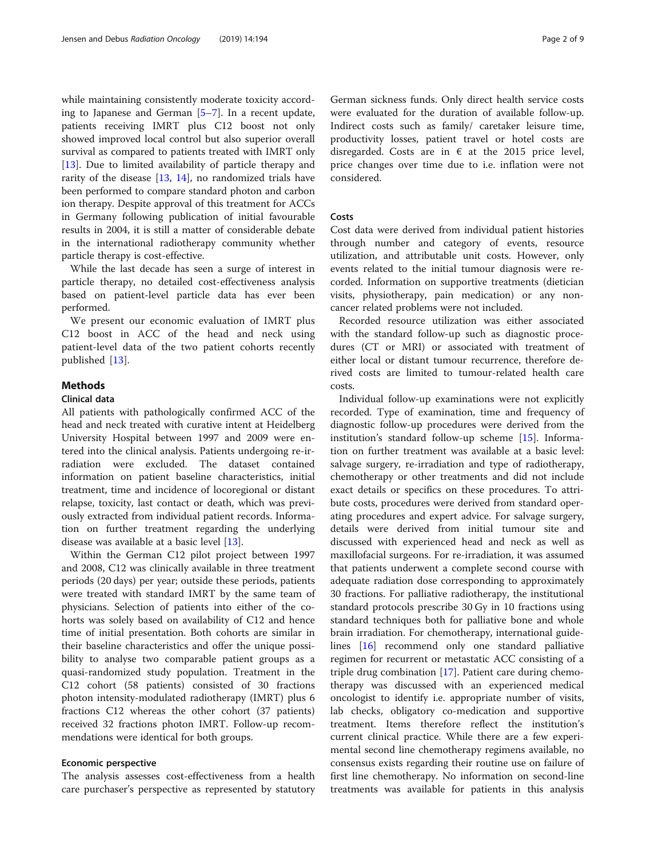while maintaining consistently moderate toxicity according to Japanese and German [[5](#page-7-0)–[7](#page-7-0)]. In a recent update, patients receiving IMRT plus C12 boost not only showed improved local control but also superior overall survival as compared to patients treated with IMRT only [[13\]](#page-7-0). Due to limited availability of particle therapy and rarity of the disease [\[13](#page-7-0), [14](#page-7-0)], no randomized trials have been performed to compare standard photon and carbon ion therapy. Despite approval of this treatment for ACCs in Germany following publication of initial favourable results in 2004, it is still a matter of considerable debate in the international radiotherapy community whether particle therapy is cost-effective.

While the last decade has seen a surge of interest in particle therapy, no detailed cost-effectiveness analysis based on patient-level particle data has ever been performed.

We present our economic evaluation of IMRT plus C12 boost in ACC of the head and neck using patient-level data of the two patient cohorts recently published [\[13](#page-7-0)].

#### Methods

#### Clinical data

All patients with pathologically confirmed ACC of the head and neck treated with curative intent at Heidelberg University Hospital between 1997 and 2009 were entered into the clinical analysis. Patients undergoing re-irradiation were excluded. The dataset contained information on patient baseline characteristics, initial treatment, time and incidence of locoregional or distant relapse, toxicity, last contact or death, which was previously extracted from individual patient records. Information on further treatment regarding the underlying disease was available at a basic level [\[13](#page-7-0)].

Within the German C12 pilot project between 1997 and 2008, C12 was clinically available in three treatment periods (20 days) per year; outside these periods, patients were treated with standard IMRT by the same team of physicians. Selection of patients into either of the cohorts was solely based on availability of C12 and hence time of initial presentation. Both cohorts are similar in their baseline characteristics and offer the unique possibility to analyse two comparable patient groups as a quasi-randomized study population. Treatment in the C12 cohort (58 patients) consisted of 30 fractions photon intensity-modulated radiotherapy (IMRT) plus 6 fractions C12 whereas the other cohort (37 patients) received 32 fractions photon IMRT. Follow-up recommendations were identical for both groups.

#### Economic perspective

The analysis assesses cost-effectiveness from a health care purchaser's perspective as represented by statutory German sickness funds. Only direct health service costs were evaluated for the duration of available follow-up. Indirect costs such as family/ caretaker leisure time, productivity losses, patient travel or hotel costs are disregarded. Costs are in  $\epsilon$  at the 2015 price level, price changes over time due to i.e. inflation were not considered.

#### Costs

Cost data were derived from individual patient histories through number and category of events, resource utilization, and attributable unit costs. However, only events related to the initial tumour diagnosis were recorded. Information on supportive treatments (dietician visits, physiotherapy, pain medication) or any noncancer related problems were not included.

Recorded resource utilization was either associated with the standard follow-up such as diagnostic procedures (CT or MRI) or associated with treatment of either local or distant tumour recurrence, therefore derived costs are limited to tumour-related health care costs.

Individual follow-up examinations were not explicitly recorded. Type of examination, time and frequency of diagnostic follow-up procedures were derived from the institution's standard follow-up scheme [[15\]](#page-7-0). Information on further treatment was available at a basic level: salvage surgery, re-irradiation and type of radiotherapy, chemotherapy or other treatments and did not include exact details or specifics on these procedures. To attribute costs, procedures were derived from standard operating procedures and expert advice. For salvage surgery, details were derived from initial tumour site and discussed with experienced head and neck as well as maxillofacial surgeons. For re-irradiation, it was assumed that patients underwent a complete second course with adequate radiation dose corresponding to approximately 30 fractions. For palliative radiotherapy, the institutional standard protocols prescribe 30 Gy in 10 fractions using standard techniques both for palliative bone and whole brain irradiation. For chemotherapy, international guidelines [\[16](#page-7-0)] recommend only one standard palliative regimen for recurrent or metastatic ACC consisting of a triple drug combination [[17](#page-7-0)]. Patient care during chemotherapy was discussed with an experienced medical oncologist to identify i.e. appropriate number of visits, lab checks, obligatory co-medication and supportive treatment. Items therefore reflect the institution's current clinical practice. While there are a few experimental second line chemotherapy regimens available, no consensus exists regarding their routine use on failure of first line chemotherapy. No information on second-line treatments was available for patients in this analysis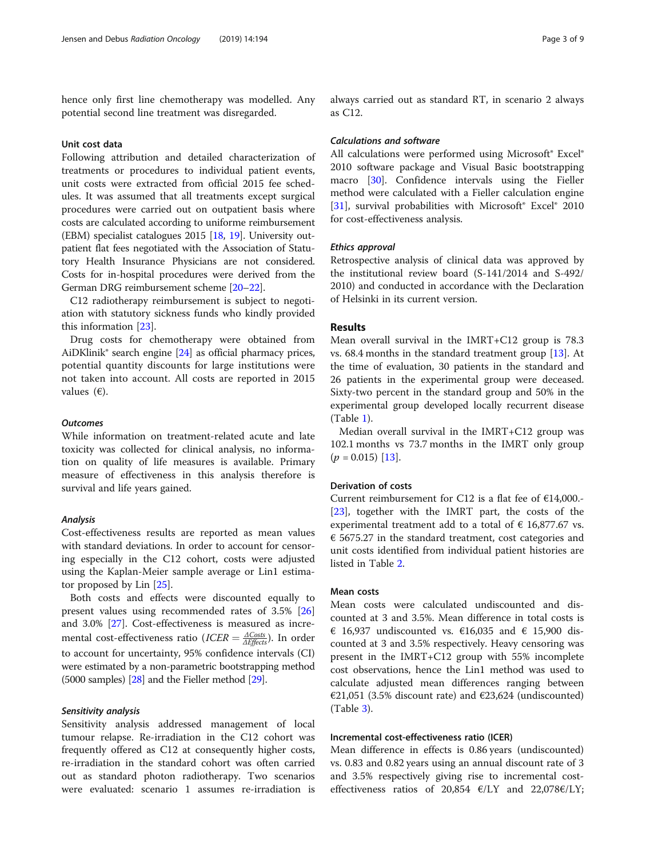hence only first line chemotherapy was modelled. Any potential second line treatment was disregarded.

#### Unit cost data

Following attribution and detailed characterization of treatments or procedures to individual patient events, unit costs were extracted from official 2015 fee schedules. It was assumed that all treatments except surgical procedures were carried out on outpatient basis where costs are calculated according to uniforme reimbursement (EBM) specialist catalogues 2015 [\[18,](#page-7-0) [19\]](#page-7-0). University outpatient flat fees negotiated with the Association of Statutory Health Insurance Physicians are not considered. Costs for in-hospital procedures were derived from the German DRG reimbursement scheme [\[20](#page-7-0)–[22](#page-7-0)].

C12 radiotherapy reimbursement is subject to negotiation with statutory sickness funds who kindly provided this information [\[23\]](#page-7-0).

Drug costs for chemotherapy were obtained from AiDKlinik $\degree$  search engine [[24\]](#page-7-0) as official pharmacy prices, potential quantity discounts for large institutions were not taken into account. All costs are reported in 2015 values  $(\epsilon)$ .

#### **Outcomes**

While information on treatment-related acute and late toxicity was collected for clinical analysis, no information on quality of life measures is available. Primary measure of effectiveness in this analysis therefore is survival and life years gained.

#### Analysis

Cost-effectiveness results are reported as mean values with standard deviations. In order to account for censoring especially in the C12 cohort, costs were adjusted using the Kaplan-Meier sample average or Lin1 estimator proposed by Lin [\[25](#page-7-0)].

Both costs and effects were discounted equally to present values using recommended rates of 3.5% [[26](#page-7-0)] and 3.0% [\[27](#page-7-0)]. Cost-effectiveness is measured as incremental cost-effectiveness ratio (*ICER*  $=$   $\frac{\Delta Costs}{\Delta Effects}$ ). In order to account for uncertainty, 95% confidence intervals (CI) were estimated by a non-parametric bootstrapping method (5000 samples) [\[28\]](#page-7-0) and the Fieller method [[29](#page-7-0)].

#### Sensitivity analysis

Sensitivity analysis addressed management of local tumour relapse. Re-irradiation in the C12 cohort was frequently offered as C12 at consequently higher costs, re-irradiation in the standard cohort was often carried out as standard photon radiotherapy. Two scenarios were evaluated: scenario 1 assumes re-irradiation is always carried out as standard RT, in scenario 2 always as C12.

#### Calculations and software

All calculations were performed using Microsoft® Excel® 2010 software package and Visual Basic bootstrapping macro [[30\]](#page-7-0). Confidence intervals using the Fieller method were calculated with a Fieller calculation engine [[31\]](#page-7-0), survival probabilities with Microsoft® Excel® 2010 for cost-effectiveness analysis.

#### Ethics approval

Retrospective analysis of clinical data was approved by the institutional review board (S-141/2014 and S-492/ 2010) and conducted in accordance with the Declaration of Helsinki in its current version.

#### Results

Mean overall survival in the IMRT+C12 group is 78.3 vs. 68.4 months in the standard treatment group [\[13\]](#page-7-0). At the time of evaluation, 30 patients in the standard and 26 patients in the experimental group were deceased. Sixty-two percent in the standard group and 50% in the experimental group developed locally recurrent disease (Table [1\)](#page-3-0).

Median overall survival in the IMRT+C12 group was 102.1 months vs 73.7 months in the IMRT only group  $(p = 0.015)$  [[13](#page-7-0)].

#### Derivation of costs

Current reimbursement for C12 is a flat fee of  $E14,000$ . [[23\]](#page-7-0), together with the IMRT part, the costs of the experimental treatment add to a total of  $\epsilon$  16,877.67 vs. € 5675.27 in the standard treatment, cost categories and unit costs identified from individual patient histories are listed in Table [2](#page-3-0).

#### Mean costs

Mean costs were calculated undiscounted and discounted at 3 and 3.5%. Mean difference in total costs is € 16,937 undiscounted vs. €16,035 and € 15,900 discounted at 3 and 3.5% respectively. Heavy censoring was present in the IMRT+C12 group with 55% incomplete cost observations, hence the Lin1 method was used to calculate adjusted mean differences ranging between €21,051 (3.5% discount rate) and €23,624 (undiscounted) (Table [3\)](#page-4-0).

#### Incremental cost-effectiveness ratio (ICER)

Mean difference in effects is 0.86 years (undiscounted) vs. 0.83 and 0.82 years using an annual discount rate of 3 and 3.5% respectively giving rise to incremental costeffectiveness ratios of 20,854  $\varepsilon$ /LY and 22,078 $\varepsilon$ /LY;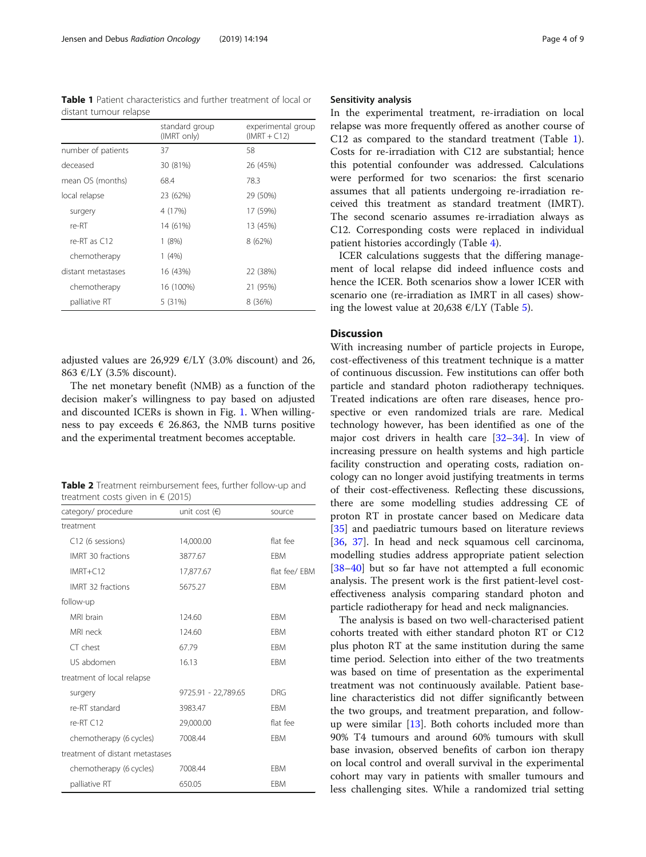<span id="page-3-0"></span>Table 1 Patient characteristics and further treatment of local or distant tumour relapse

|                    | standard group<br>(IMRT only) | experimental group<br>$(IMRT + C12)$ |
|--------------------|-------------------------------|--------------------------------------|
| number of patients | 37                            | 58                                   |
| deceased           | 30 (81%)                      | 26 (45%)                             |
| mean OS (months)   | 68.4                          | 78.3                                 |
| local relapse      | 23 (62%)                      | 29 (50%)                             |
| surgery            | 4 (17%)                       | 17 (59%)                             |
| re-RT              | 14 (61%)                      | 13 (45%)                             |
| re-RT as $C12$     | 1(8%)                         | 8 (62%)                              |
| chemotherapy       | 1(4%)                         |                                      |
| distant metastases | 16 (43%)                      | 22 (38%)                             |
| chemotherapy       | 16 (100%)                     | 21 (95%)                             |
| palliative RT      | 5 (31%)                       | 8 (36%)                              |

adjusted values are 26,929  $E/LY$  (3.0% discount) and 26, 863 €/LY (3.5% discount).

The net monetary benefit (NMB) as a function of the decision maker's willingness to pay based on adjusted and discounted ICERs is shown in Fig. [1.](#page-4-0) When willingness to pay exceeds  $\epsilon$  26.863, the NMB turns positive and the experimental treatment becomes acceptable.

Table 2 Treatment reimbursement fees, further follow-up and treatment costs given in  $\in$  (2015)

| category/ procedure             | unit cost $(\epsilon)$ | source        |
|---------------------------------|------------------------|---------------|
| treatment                       |                        |               |
| C12 (6 sessions)                | 14,000.00              | flat fee      |
| IMRT 30 fractions               | 3877.67                | <b>FBM</b>    |
| $IMRT + C12$                    | 17,877.67              | flat fee/ FBM |
| IMRT 32 fractions               | 5675.27                | <b>FBM</b>    |
| follow-up                       |                        |               |
| MRI brain                       | 124.60                 | <b>FBM</b>    |
| MRI neck                        | 124.60                 | <b>FBM</b>    |
| $CT$ chest                      | 67.79                  | <b>FBM</b>    |
| US abdomen                      | 16.13                  | <b>FBM</b>    |
| treatment of local relapse      |                        |               |
| surgery                         | 9725.91 - 22,789.65    | DRG           |
| re-RT standard                  | 3983.47                | <b>FBM</b>    |
| $re-RT C12$                     | 29,000.00              | flat fee      |
| chemotherapy (6 cycles)         | 7008.44                | <b>FBM</b>    |
| treatment of distant metastases |                        |               |
| chemotherapy (6 cycles)         | 7008.44                | <b>FBM</b>    |
| palliative RT                   | 650.05                 | <b>FBM</b>    |

#### Sensitivity analysis

In the experimental treatment, re-irradiation on local relapse was more frequently offered as another course of C12 as compared to the standard treatment (Table 1). Costs for re-irradiation with C12 are substantial; hence this potential confounder was addressed. Calculations were performed for two scenarios: the first scenario assumes that all patients undergoing re-irradiation received this treatment as standard treatment (IMRT). The second scenario assumes re-irradiation always as C12. Corresponding costs were replaced in individual patient histories accordingly (Table [4](#page-5-0)).

ICER calculations suggests that the differing management of local relapse did indeed influence costs and hence the ICER. Both scenarios show a lower ICER with scenario one (re-irradiation as IMRT in all cases) showing the lowest value at 20,638  $E/LY$  (Table [5](#page-5-0)).

#### **Discussion**

With increasing number of particle projects in Europe, cost-effectiveness of this treatment technique is a matter of continuous discussion. Few institutions can offer both particle and standard photon radiotherapy techniques. Treated indications are often rare diseases, hence prospective or even randomized trials are rare. Medical technology however, has been identified as one of the major cost drivers in health care [\[32](#page-7-0)–[34\]](#page-7-0). In view of increasing pressure on health systems and high particle facility construction and operating costs, radiation oncology can no longer avoid justifying treatments in terms of their cost-effectiveness. Reflecting these discussions, there are some modelling studies addressing CE of proton RT in prostate cancer based on Medicare data [[35\]](#page-7-0) and paediatric tumours based on literature reviews [[36,](#page-7-0) [37\]](#page-7-0). In head and neck squamous cell carcinoma, modelling studies address appropriate patient selection [[38](#page-8-0)–[40](#page-8-0)] but so far have not attempted a full economic analysis. The present work is the first patient-level costeffectiveness analysis comparing standard photon and particle radiotherapy for head and neck malignancies.

The analysis is based on two well-characterised patient cohorts treated with either standard photon RT or C12 plus photon RT at the same institution during the same time period. Selection into either of the two treatments was based on time of presentation as the experimental treatment was not continuously available. Patient baseline characteristics did not differ significantly between the two groups, and treatment preparation, and followup were similar [[13\]](#page-7-0). Both cohorts included more than 90% T4 tumours and around 60% tumours with skull base invasion, observed benefits of carbon ion therapy on local control and overall survival in the experimental cohort may vary in patients with smaller tumours and less challenging sites. While a randomized trial setting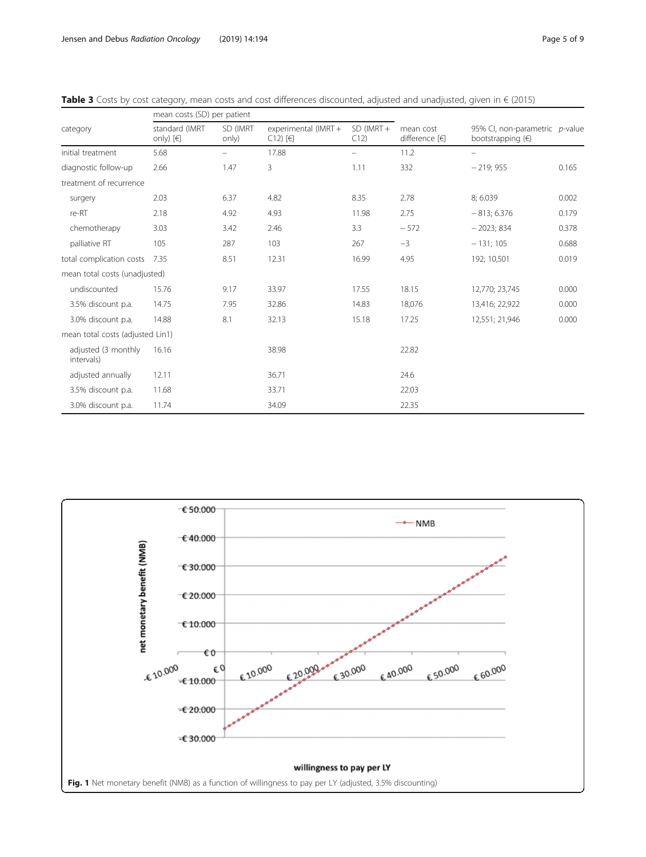|                                   | mean costs (SD) per patient     |                   |                                                   |                     |                             |                                                              |       |
|-----------------------------------|---------------------------------|-------------------|---------------------------------------------------|---------------------|-----------------------------|--------------------------------------------------------------|-------|
| category                          | standard (IMRT<br>only) $[\in]$ | SD (IMRT<br>only) | experimental (IMRT +<br>$C12$ ) [ $\varepsilon$ ] | $SD$ (IMRT +<br>C12 | mean cost<br>difference [€] | 95% Cl, non-parametric p-value<br>bootstrapping $(\epsilon)$ |       |
| initial treatment                 | 5.68                            |                   | 17.88                                             |                     | 11.2                        |                                                              |       |
| diagnostic follow-up              | 2.66                            | 1.47              | 3                                                 | 1.11                | 332                         | $-219;955$                                                   | 0.165 |
| treatment of recurrence           |                                 |                   |                                                   |                     |                             |                                                              |       |
| surgery                           | 2.03                            | 6.37              | 4.82                                              | 8.35                | 2.78                        | 8; 6.039                                                     | 0.002 |
| re-RT                             | 2.18                            | 4.92              | 4.93                                              | 11.98               | 2.75                        | $-813; 6.376$                                                | 0.179 |
| chemotherapy                      | 3.03                            | 3.42              | 2.46                                              | 3.3                 | $-572$                      | $-2023;834$                                                  | 0.378 |
| palliative RT                     | 105                             | 287               | 103                                               | 267                 | $-3$                        | $-131;105$                                                   | 0.688 |
| total complication costs          | 7.35                            | 8.51              | 12.31                                             | 16.99               | 4.95                        | 192; 10,501                                                  | 0.019 |
| mean total costs (unadjusted)     |                                 |                   |                                                   |                     |                             |                                                              |       |
| undiscounted                      | 15.76                           | 9.17              | 33.97                                             | 17.55               | 18.15                       | 12,770; 23,745                                               | 0.000 |
| 3.5% discount p.a.                | 14.75                           | 7.95              | 32.86                                             | 14.83               | 18,076                      | 13,416; 22,922                                               | 0.000 |
| 3.0% discount p.a.                | 14.88                           | 8.1               | 32.13                                             | 15.18               | 17.25                       | 12,551; 21,946                                               | 0.000 |
| mean total costs (adjusted Lin1)  |                                 |                   |                                                   |                     |                             |                                                              |       |
| adjusted (3 monthly<br>intervals) | 16.16                           |                   | 38.98                                             |                     | 22.82                       |                                                              |       |
| adjusted annually                 | 12.11                           |                   | 36.71                                             |                     | 24.6                        |                                                              |       |
| 3.5% discount p.a.                | 11.68                           |                   | 33.71                                             |                     | 22.03                       |                                                              |       |
| 3.0% discount p.a.                | 11.74                           |                   | 34.09                                             |                     | 22.35                       |                                                              |       |

<span id="page-4-0"></span>Table 3 Costs by cost category, mean costs and cost differences discounted, adjusted and unadjusted, given in € (2015)

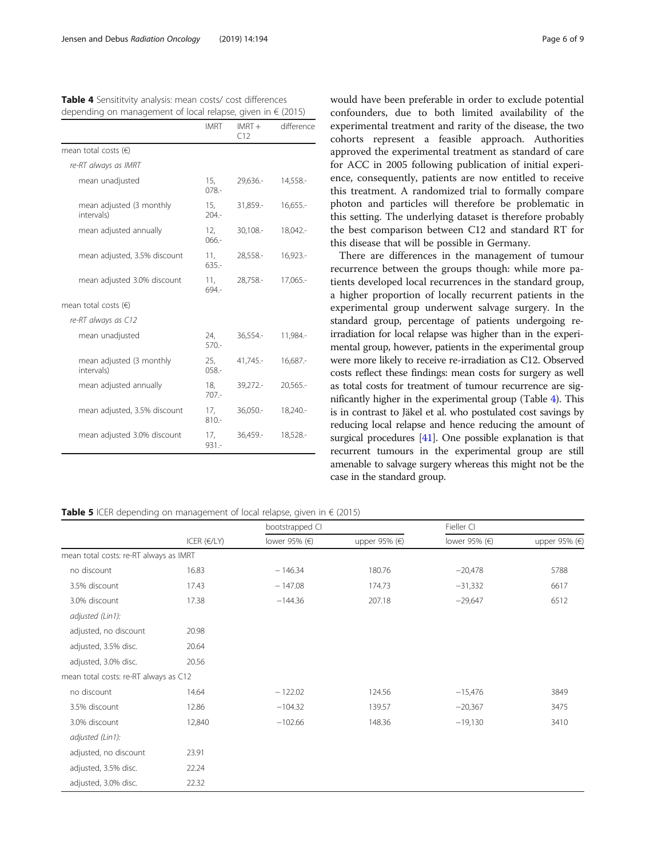<span id="page-5-0"></span>

| Table 4 Sensititvity analysis: mean costs/ cost differences          |
|----------------------------------------------------------------------|
| depending on management of local relapse, given in $\epsilon$ (2015) |

|                                        | <b>IMRT</b>    | $IMRT +$<br>C12 | difference  |
|----------------------------------------|----------------|-----------------|-------------|
| mean total costs $(\epsilon)$          |                |                 |             |
| re-RT always as IMRT                   |                |                 |             |
| mean unadjusted                        | 15,<br>$078 -$ | 29,636.-        | 14,558.-    |
| mean adjusted (3 monthly<br>intervals) | 15,<br>$204 -$ | 31,859.-        | 16,655.     |
| mean adjusted annually                 | 12,<br>$066 -$ | 30,108 .-       | 18,042 .-   |
| mean adjusted, 3.5% discount           | 11,<br>$635 -$ | 28,558.-        | $16,923. -$ |
| mean adjusted 3.0% discount            | 11,<br>694.-   | 28,758.-        | 17,065.-    |
| mean total costs $(\epsilon)$          |                |                 |             |
| re-RT always as C12                    |                |                 |             |
| mean unadjusted                        | 24,<br>$570-$  | $36,554-$       | 11,984.-    |
| mean adjusted (3 monthly<br>intervals) | 25,<br>$058 -$ | 41,745.-        | $16,687. -$ |
| mean adjusted annually                 | 18.<br>$707 -$ | $39,272-$       | $20,565. -$ |
| mean adjusted, 3.5% discount           | 17,<br>$810 -$ | $36,050 -$      | 18,240.-    |
| mean adjusted 3.0% discount            | 17,<br>$931 -$ | 36,459.-        | 18,528 .-   |
|                                        |                |                 |             |

would have been preferable in order to exclude potential confounders, due to both limited availability of the experimental treatment and rarity of the disease, the two cohorts represent a feasible approach. Authorities approved the experimental treatment as standard of care for ACC in 2005 following publication of initial experience, consequently, patients are now entitled to receive this treatment. A randomized trial to formally compare photon and particles will therefore be problematic in this setting. The underlying dataset is therefore probably the best comparison between C12 and standard RT for this disease that will be possible in Germany.

There are differences in the management of tumour recurrence between the groups though: while more patients developed local recurrences in the standard group, a higher proportion of locally recurrent patients in the experimental group underwent salvage surgery. In the standard group, percentage of patients undergoing reirradiation for local relapse was higher than in the experimental group, however, patients in the experimental group were more likely to receive re-irradiation as C12. Observed costs reflect these findings: mean costs for surgery as well as total costs for treatment of tumour recurrence are significantly higher in the experimental group (Table 4). This is in contrast to Jäkel et al. who postulated cost savings by reducing local relapse and hence reducing the amount of surgical procedures [\[41\]](#page-8-0). One possible explanation is that recurrent tumours in the experimental group are still amenable to salvage surgery whereas this might not be the case in the standard group.

Table 5 ICER depending on management of local relapse, given in € (2015)

|                                        | ICER $(E/LY)$ | bootstrapped Cl |               | Fieller CI    |               |  |
|----------------------------------------|---------------|-----------------|---------------|---------------|---------------|--|
|                                        |               | lower 95% (€)   | upper 95% (€) | lower 95% (€) | upper 95% (€) |  |
| mean total costs: re-RT always as IMRT |               |                 |               |               |               |  |
| no discount                            | 16.83         | $-146.34$       | 180.76        | $-20,478$     | 5788          |  |
| 3.5% discount                          | 17.43         | $-147.08$       | 174.73        | $-31,332$     | 6617          |  |
| 3.0% discount                          | 17.38         | $-144.36$       | 207.18        | $-29,647$     | 6512          |  |
| adjusted (Lin1):                       |               |                 |               |               |               |  |
| adjusted, no discount                  | 20.98         |                 |               |               |               |  |
| adjusted, 3.5% disc.                   | 20.64         |                 |               |               |               |  |
| adjusted, 3.0% disc.                   | 20.56         |                 |               |               |               |  |
| mean total costs: re-RT always as C12  |               |                 |               |               |               |  |
| no discount                            | 14.64         | $-122.02$       | 124.56        | $-15,476$     | 3849          |  |
| 3.5% discount                          | 12.86         | $-104.32$       | 139.57        | $-20,367$     | 3475          |  |
| 3.0% discount                          | 12,840        | $-102.66$       | 148.36        | $-19,130$     | 3410          |  |
| adjusted (Lin1):                       |               |                 |               |               |               |  |
| adjusted, no discount                  | 23.91         |                 |               |               |               |  |
| adjusted, 3.5% disc.                   | 22.24         |                 |               |               |               |  |
| adjusted, 3.0% disc.                   | 22.32         |                 |               |               |               |  |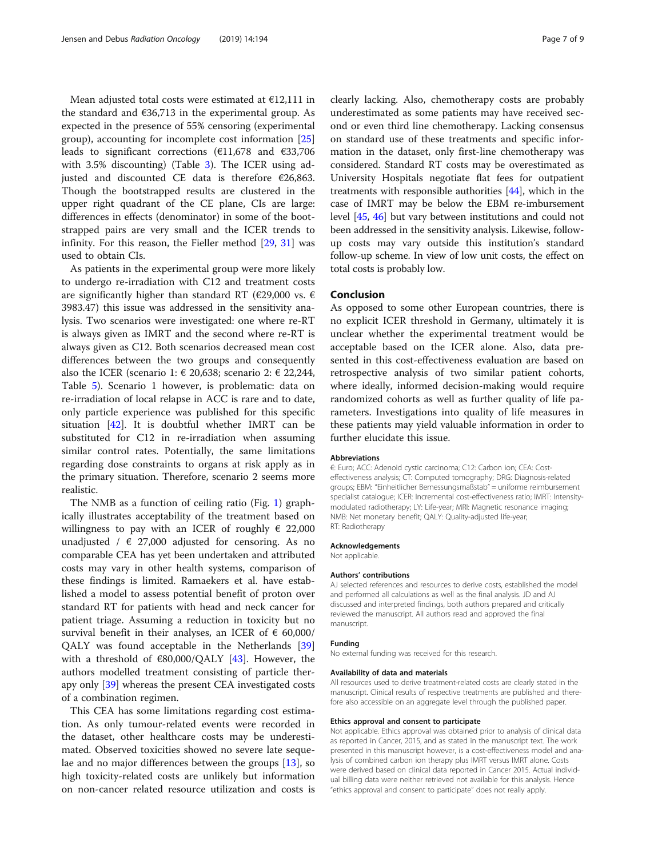Mean adjusted total costs were estimated at €12,111 in the standard and  $\epsilon$ 36,713 in the experimental group. As expected in the presence of 55% censoring (experimental group), accounting for incomplete cost information [[25](#page-7-0)] leads to significant corrections (€11,678 and €33,706 with 3.5% discounting) (Table [3\)](#page-4-0). The ICER using adjusted and discounted CE data is therefore  $€26,863$ . Though the bootstrapped results are clustered in the upper right quadrant of the CE plane, CIs are large: differences in effects (denominator) in some of the bootstrapped pairs are very small and the ICER trends to infinity. For this reason, the Fieller method [\[29](#page-7-0), [31\]](#page-7-0) was used to obtain CIs.

As patients in the experimental group were more likely to undergo re-irradiation with C12 and treatment costs are significantly higher than standard RT (€29,000 vs.  $\epsilon$ 3983.47) this issue was addressed in the sensitivity analysis. Two scenarios were investigated: one where re-RT is always given as IMRT and the second where re-RT is always given as C12. Both scenarios decreased mean cost differences between the two groups and consequently also the ICER (scenario 1:  $\in$  20,638; scenario 2:  $\in$  22,244, Table [5\)](#page-5-0). Scenario 1 however, is problematic: data on re-irradiation of local relapse in ACC is rare and to date, only particle experience was published for this specific situation [[42\]](#page-8-0). It is doubtful whether IMRT can be substituted for C12 in re-irradiation when assuming similar control rates. Potentially, the same limitations regarding dose constraints to organs at risk apply as in the primary situation. Therefore, scenario 2 seems more realistic.

The NMB as a function of ceiling ratio (Fig. [1](#page-4-0)) graphically illustrates acceptability of the treatment based on willingness to pay with an ICER of roughly  $\epsilon$  22,000 unadjusted /  $\in$  27,000 adjusted for censoring. As no comparable CEA has yet been undertaken and attributed costs may vary in other health systems, comparison of these findings is limited. Ramaekers et al. have established a model to assess potential benefit of proton over standard RT for patients with head and neck cancer for patient triage. Assuming a reduction in toxicity but no survival benefit in their analyses, an ICER of  $\epsilon$  60,000/ QALY was found acceptable in the Netherlands [[39](#page-8-0)] with a threshold of  $\epsilon$ 80,000/QALY [\[43](#page-8-0)]. However, the authors modelled treatment consisting of particle therapy only [\[39\]](#page-8-0) whereas the present CEA investigated costs of a combination regimen.

This CEA has some limitations regarding cost estimation. As only tumour-related events were recorded in the dataset, other healthcare costs may be underestimated. Observed toxicities showed no severe late sequelae and no major differences between the groups [\[13](#page-7-0)], so high toxicity-related costs are unlikely but information on non-cancer related resource utilization and costs is

clearly lacking. Also, chemotherapy costs are probably underestimated as some patients may have received second or even third line chemotherapy. Lacking consensus on standard use of these treatments and specific information in the dataset, only first-line chemotherapy was considered. Standard RT costs may be overestimated as University Hospitals negotiate flat fees for outpatient treatments with responsible authorities [\[44\]](#page-8-0), which in the case of IMRT may be below the EBM re-imbursement level [\[45,](#page-8-0) [46\]](#page-8-0) but vary between institutions and could not been addressed in the sensitivity analysis. Likewise, followup costs may vary outside this institution's standard follow-up scheme. In view of low unit costs, the effect on total costs is probably low.

#### Conclusion

As opposed to some other European countries, there is no explicit ICER threshold in Germany, ultimately it is unclear whether the experimental treatment would be acceptable based on the ICER alone. Also, data presented in this cost-effectiveness evaluation are based on retrospective analysis of two similar patient cohorts, where ideally, informed decision-making would require randomized cohorts as well as further quality of life parameters. Investigations into quality of life measures in these patients may yield valuable information in order to further elucidate this issue.

#### Abbreviations

€: Euro; ACC: Adenoid cystic carcinoma; C12: Carbon ion; CEA: Costeffectiveness analysis; CT: Computed tomography; DRG: Diagnosis-related groups; EBM: "Einheitlicher Bemessungsmaßstab" = uniforme reimbursement specialist catalogue; ICER: Incremental cost-effectiveness ratio; IMRT: Intensitymodulated radiotherapy; LY: Life-year; MRI: Magnetic resonance imaging; NMB: Net monetary benefit; QALY: Quality-adjusted life-year; RT: Radiotherapy

#### Acknowledgements

Not applicable.

#### Authors' contributions

AJ selected references and resources to derive costs, established the model and performed all calculations as well as the final analysis. JD and AJ discussed and interpreted findings, both authors prepared and critically reviewed the manuscript. All authors read and approved the final manuscript.

#### Funding

No external funding was received for this research.

#### Availability of data and materials

All resources used to derive treatment-related costs are clearly stated in the manuscript. Clinical results of respective treatments are published and therefore also accessible on an aggregate level through the published paper.

#### Ethics approval and consent to participate

Not applicable. Ethics approval was obtained prior to analysis of clinical data as reported in Cancer, 2015, and as stated in the manuscript text. The work presented in this manuscript however, is a cost-effectiveness model and analysis of combined carbon ion therapy plus IMRT versus IMRT alone. Costs were derived based on clinical data reported in Cancer 2015. Actual individual billing data were neither retrieved not available for this analysis. Hence "ethics approval and consent to participate" does not really apply.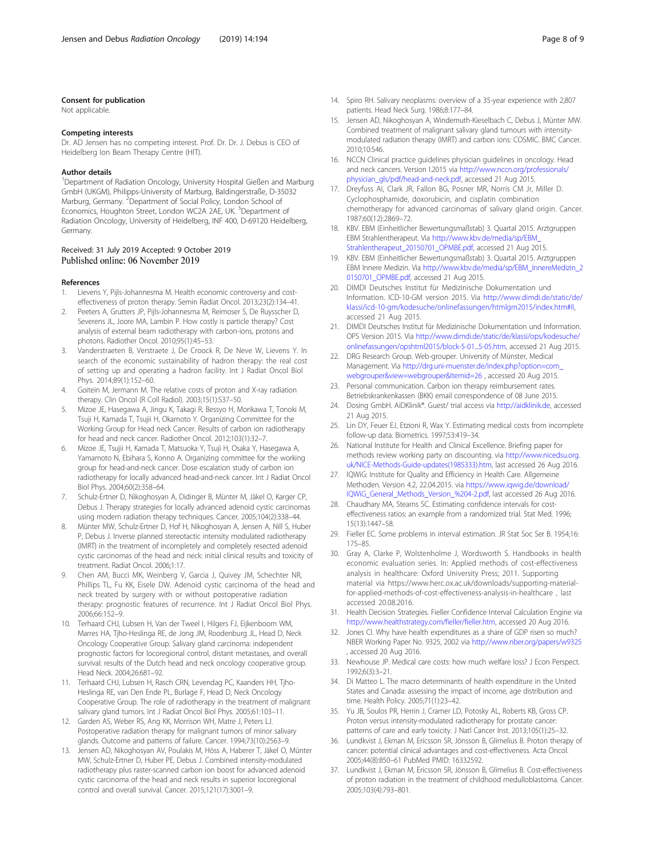#### <span id="page-7-0"></span>Consent for publication

Not applicable.

#### Competing interests

Dr. AD Jensen has no competing interest. Prof. Dr. Dr. J. Debus is CEO of Heidelberg Ion Beam Therapy Centre (HIT).

#### Author details

<sup>1</sup>Department of Radiation Oncology, University Hospital Gießen and Marburg GmbH (UKGM), Philipps-University of Marburg, Baldingerstraße, D-35032 Marburg, Germany. <sup>2</sup>Department of Social Policy, London School of Economics, Houghton Street, London WC2A 2AE, UK. <sup>3</sup>Department of Radiation Oncology, University of Heidelberg, INF 400, D-69120 Heidelberg, Germany.

#### Received: 31 July 2019 Accepted: 9 October 2019 Published online: 06 November 2019

#### References

- 1. Lievens Y, Pijls-Johannesma M. Health economic controversy and costeffectiveness of proton therapy. Semin Radiat Oncol. 2013;23(2):134–41.
- 2. Peeters A, Grutters JP, Pijls-Johannesma M, Reimoser S, De Ruysscher D, Severens JL, Joore MA, Lambin P. How costly is particle therapy? Cost analysis of external beam radiotherapy with carbon-ions, protons and photons. Radiother Oncol. 2010;95(1):45–53.
- 3. Vanderstraeten B, Verstraete J, De Croock R, De Neve W, Lievens Y. In search of the economic sustainability of hadron therapy: the real cost of setting up and operating a hadron facility. Int J Radiat Oncol Biol Phys. 2014;89(1):152–60.
- 4. Goitein M, Jermann M. The relative costs of proton and X-ray radiation therapy. Clin Oncol (R Coll Radiol). 2003;15(1):S37–50.
- 5. Mizoe JE, Hasegawa A, Jingu K, Takagi R, Bessyo H, Morikawa T, Tonoki M, Tsuji H, Kamada T, Tsujii H, Okamoto Y. Organizing Committee for the Working Group for Head neck Cancer. Results of carbon ion radiotherapy for head and neck cancer. Radiother Oncol. 2012;103(1):32–7.
- 6. Mizoe JE, Tsujii H, Kamada T, Matsuoka Y, Tsuji H, Osaka Y, Hasegawa A, Yamamoto N, Ebihara S, Konno A. Organizing committee for the working group for head-and-neck cancer. Dose escalation study of carbon ion radiotherapy for locally advanced head-and-neck cancer. Int J Radiat Oncol Biol Phys. 2004;60(2):358–64.
- 7. Schulz-Ertner D, Nikoghosyan A, Didinger B, Münter M, Jäkel O, Karger CP, Debus J. Therapy strategies for locally advanced adenoid cystic carcinomas using modern radiation therapy techniques. Cancer. 2005;104(2):338–44.
- 8. Münter MW, Schulz-Ertner D, Hof H, Nikoghosyan A, Jensen A, Nill S, Huber P, Debus J. Inverse planned stereotactic intensity modulated radiotherapy (IMRT) in the treatment of incompletely and completely resected adenoid cystic carcinomas of the head and neck: initial clinical results and toxicity of treatment. Radiat Oncol. 2006;1:17.
- 9. Chen AM, Bucci MK, Weinberg V, Garcia J, Quivey JM, Schechter NR, Phillips TL, Fu KK, Eisele DW. Adenoid cystic carcinoma of the head and neck treated by surgery with or without postoperative radiation therapy: prognostic features of recurrence. Int J Radiat Oncol Biol Phys. 2006;66:152–9.
- 10. Terhaard CHJ, Lubsen H, Van der Tweel I, Hilgers FJ, Eijkenboom WM, Marres HA, Tjho-Heslinga RE, de Jong JM, Roodenburg JL, Head D, Neck Oncology Cooperative Group. Salivary gland carcinoma: independent prognostic factors for locoregional control, distant metastases, and overall survival: results of the Dutch head and neck oncology cooperative group. Head Neck. 2004;26:681–92.
- 11. Terhaard CHJ, Lubsen H, Rasch CRN, Levendag PC, Kaanders HH, Tjho-Heslinga RE, van Den Ende PL, Burlage F, Head D, Neck Oncology Cooperative Group. The role of radiotherapy in the treatment of malignant salivary gland tumors. Int J Radiat Oncol Biol Phys. 2005;61:103–11.
- 12. Garden AS, Weber RS, Ang KK, Morrison WH, Matre J, Peters LJ. Postoperative radiation therapy for malignant tumors of minor salivary glands. Outcome and patterns of failure. Cancer. 1994;73(10):2563–9.
- 13. Jensen AD, Nikoghosyan AV, Poulakis M, Höss A, Haberer T, Jäkel O, Münter MW, Schulz-Ertner D, Huber PE, Debus J. Combined intensity-modulated radiotherapy plus raster-scanned carbon ion boost for advanced adenoid cystic carcinoma of the head and neck results in superior locoregional control and overall survival. Cancer. 2015;121(17):3001–9.
- 14. Spiro RH. Salivary neoplasms: overview of a 35-year experience with 2,807 patients. Head Neck Surg. 1986;8:177–84.
- 15. Jensen AD, Nikoghosyan A, Windemuth-Kieselbach C, Debus J, Münter MW. Combined treatment of malignant salivary gland tumours with intensitymodulated radiation therapy (IMRT) and carbon ions: COSMIC. BMC Cancer. 2010;10:546.
- 16. NCCN Clinical practice guidelines physician guidelines in oncology. Head and neck cancers. Version I.2015 via [http://www.nccn.org/professionals/](http://www.nccn.org/professionals/physician_gls/pdf/head-and-neck.pdf) [physician\\_gls/pdf/head-and-neck.pdf](http://www.nccn.org/professionals/physician_gls/pdf/head-and-neck.pdf), accessed 21 Aug 2015.
- 17. Dreyfuss AI, Clark JR, Fallon BG, Posner MR, Norris CM Jr, Miller D. Cyclophosphamide, doxorubicin, and cisplatin combination chemotherapy for advanced carcinomas of salivary gland origin. Cancer. 1987;60(12):2869–72.
- 18. KBV. EBM (Einheitlicher Bewertungsmaßstab) 3. Quartal 2015. Arztgruppen EBM Strahlentherapeut. Via [http://www.kbv.de/media/sp/EBM\\_](http://www.kbv.de/media/sp/EBM_Strahlentherapeut_20150701_OPMBE.pdf) [Strahlentherapeut\\_20150701\\_OPMBE.pdf](http://www.kbv.de/media/sp/EBM_Strahlentherapeut_20150701_OPMBE.pdf), accessed 21 Aug 2015.
- 19. KBV. EBM (Einheitlicher Bewertungsmaßstab) 3. Quartal 2015. Arztgruppen EBM Innere Medizin. Via [http://www.kbv.de/media/sp/EBM\\_InnereMedizin\\_2](http://www.kbv.de/media/sp/EBM_InnereMedizin_20150701_OPMBE.pdf) [0150701\\_OPMBE.pdf,](http://www.kbv.de/media/sp/EBM_InnereMedizin_20150701_OPMBE.pdf) accessed 21 Aug 2015.
- 20. DIMDI Deutsches Institut für Medizinische Dokumentation und Information. ICD-10-GM version 2015. Via [http://www.dimdi.de/static/de/](http://www.dimdi.de/static/de/klassi/icd-10-gm/kodesuche/onlinefassungen/htmlgm2015/index.htm#II) [klassi/icd-10-gm/kodesuche/onlinefassungen/htmlgm2015/index.htm#II,](http://www.dimdi.de/static/de/klassi/icd-10-gm/kodesuche/onlinefassungen/htmlgm2015/index.htm#II) accessed 21 Aug 2015.
- 21. DIMDI Deutsches Institut für Medizinische Dokumentation und Information. OPS Version 2015. Via [http://www.dimdi.de/static/de/klassi/ops/kodesuche/](http://www.dimdi.de/static/de/klassi/ops/kodesuche/onlinefassungen/opshtml2015/block-5-01...5-05.htm) [onlinefassungen/opshtml2015/block-5-01...5-05.htm,](http://www.dimdi.de/static/de/klassi/ops/kodesuche/onlinefassungen/opshtml2015/block-5-01...5-05.htm) accessed 21 Aug 2015.
- 22. DRG Research Group. Web-grouper. University of Münster, Medical Management. Via [http://drg.uni-muenster.de/index.php?option=com\\_](http://drg.uni-muenster.de/index.php?option=com_webgrouper&view=webgrouper&Itemid=26) [webgrouper&view=webgrouper&Itemid=26](http://drg.uni-muenster.de/index.php?option=com_webgrouper&view=webgrouper&Itemid=26) , accessed 20 Aug 2015.
- 23. Personal communication. Carbon ion therapy reimbursement rates. Betriebskrankenkassen (BKK) email correspondence of 08 June 2015.
- 24. Dosing GmbH. AiDKlinik®. Guest/ trial access via <http://aidklinik.de>, accessed 21 Aug 2015.
- 25. Lin DY, Feuer EJ, Etzioni R, Wax Y. Estimating medical costs from incomplete follow-up data. Biometrics. 1997;53:419–34.
- 26. National Institute for Health and Clinical Excellence. Briefing paper for methods review working party on discounting. via [http://www.nicedsu.org.](http://www.nicedsu.org.uk/NICE-Methods-Guide-updates(1985333).htm) [uk/NICE-Methods-Guide-updates\(1985333\).htm,](http://www.nicedsu.org.uk/NICE-Methods-Guide-updates(1985333).htm) last accessed 26 Aug 2016.
- 27. IQWiG: Institute for Quality and Efficiency in Health Care. Allgemeine Methoden. Version 4.2, 22.04.2015. via [https://www.iqwig.de/download/](https://www.iqwig.de/download/IQWiG_General_Methods_Version_%204-2.pdf) [IQWiG\\_General\\_Methods\\_Version\\_%204-2.pdf](https://www.iqwig.de/download/IQWiG_General_Methods_Version_%204-2.pdf), last accessed 26 Aug 2016.
- 28. Chaudhary MA, Stearns SC. Estimating confidence intervals for costeffectiveness ratios: an example from a randomized trial. Stat Med. 1996; 15(13):1447–58.
- 29. Fieller EC. Some problems in interval estimation. JR Stat Soc Ser B. 1954;16: 175–85.
- 30. Gray A, Clarke P, Wolstenholme J, Wordsworth S. Handbooks in health economic evaluation series. In: Applied methods of cost-effectiveness analysis in healthcare: Oxford University Press; 2011. Supporting material via https://www.herc.ox.ac.uk/downloads/supporting-materialfor-applied-methods-of-cost-effectiveness-analysis-in-healthcare , last accessed 20.08.2016.
- 31. Health Decision Strategies. Fieller Confidence Interval Calculation Engine via [http://www.healthstrategy.com/fieller/fieller.htm,](http://www.healthstrategy.com/fieller/fieller.htm) accessed 20 Aug 2016.
- 32. Jones CI. Why have health expenditures as a share of GDP risen so much? NBER Working Paper No. 9325, 2002 via <http://www.nber.org/papers/w9325> , accessed 20 Aug 2016.
- 33. Newhouse JP. Medical care costs: how much welfare loss? J Econ Perspect. 1992;6(3):3–21.
- 34. Di Matteo L. The macro determinants of health expenditure in the United States and Canada: assessing the impact of income, age distribution and time. Health Policy. 2005;71(1):23–42.
- 35. Yu JB, Soulos PR, Herrin J, Cramer LD, Potosky AL, Roberts KB, Gross CP. Proton versus intensity-modulated radiotherapy for prostate cancer: patterns of care and early toxicity. J Natl Cancer Inst. 2013;105(1):25–32.
- 36. Lundkvist J, Ekman M, Ericsson SR, Jönsson B, Glimelius B. Proton therapy of cancer: potential clinical advantages and cost-effectiveness. Acta Oncol. 2005;44(8):850–61 PubMed PMID: 16332592.
- 37. Lundkvist J, Ekman M, Ericsson SR, Jönsson B, Glimelius B. Cost-effectiveness of proton radiation in the treatment of childhood medulloblastoma. Cancer. 2005;103(4):793–801.